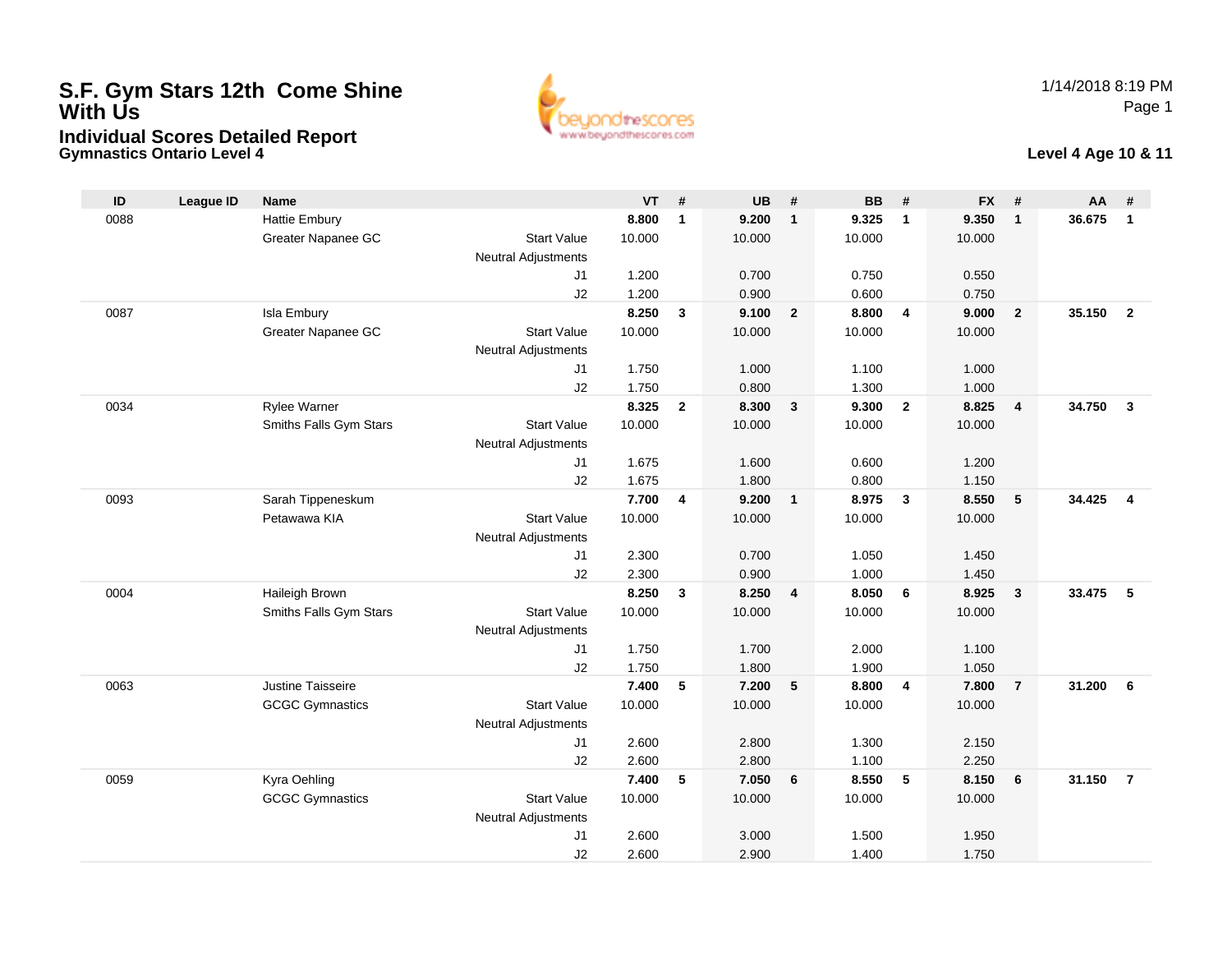# **S.F. Gym Stars 12th Come Shine With UsIndividual Scores Detailed Report**

**Gymnastics Ontario Level 4**



#### **Level 4 Age 10 & 11**

| ID   | <b>League ID</b> | <b>Name</b>                       |                            | <b>VT</b> | #                       | <b>UB</b> | #                       | <b>BB</b> | #                       | <b>FX</b> | #                       | AA     | #              |
|------|------------------|-----------------------------------|----------------------------|-----------|-------------------------|-----------|-------------------------|-----------|-------------------------|-----------|-------------------------|--------|----------------|
| 0088 |                  | <b>Hattie Embury</b>              |                            | 8.800     | $\mathbf{1}$            | 9.200     | $\mathbf{1}$            | 9.325     | $\overline{\mathbf{1}}$ | 9.350     | $\overline{1}$          | 36.675 | $\mathbf{1}$   |
|      |                  | Greater Napanee GC                | <b>Start Value</b>         | 10.000    |                         | 10.000    |                         | 10.000    |                         | 10.000    |                         |        |                |
|      |                  |                                   | <b>Neutral Adjustments</b> |           |                         |           |                         |           |                         |           |                         |        |                |
|      |                  |                                   | J1                         | 1.200     |                         | 0.700     |                         | 0.750     |                         | 0.550     |                         |        |                |
|      |                  |                                   | J2                         | 1.200     |                         | 0.900     |                         | 0.600     |                         | 0.750     |                         |        |                |
| 0087 |                  | Isla Embury                       |                            | 8.250     | $\mathbf{3}$            | 9.100     | $\overline{2}$          | 8.800     | $\overline{4}$          | 9.000     | $\overline{2}$          | 35.150 | $\overline{2}$ |
|      |                  | Greater Napanee GC                | <b>Start Value</b>         | 10.000    |                         | 10.000    |                         | 10.000    |                         | 10.000    |                         |        |                |
|      |                  |                                   | <b>Neutral Adjustments</b> |           |                         |           |                         |           |                         |           |                         |        |                |
|      |                  |                                   | J1                         | 1.750     |                         | 1.000     |                         | 1.100     |                         | 1.000     |                         |        |                |
|      |                  |                                   | J2                         | 1.750     |                         | 0.800     |                         | 1.300     |                         | 1.000     |                         |        |                |
| 0034 |                  | Rylee Warner                      |                            | 8.325     | $\overline{2}$          | 8.300     | $\mathbf{3}$            | 9.300     | $\overline{2}$          | 8.825     | $\overline{\mathbf{4}}$ | 34.750 | $\mathbf{3}$   |
|      |                  | Smiths Falls Gym Stars            | <b>Start Value</b>         | 10.000    |                         | 10.000    |                         | 10.000    |                         | 10.000    |                         |        |                |
|      |                  |                                   | <b>Neutral Adjustments</b> |           |                         |           |                         |           |                         |           |                         |        |                |
|      |                  |                                   | J1                         | 1.675     |                         | 1.600     |                         | 0.600     |                         | 1.200     |                         |        |                |
|      |                  |                                   | J2                         | 1.675     |                         | 1.800     |                         | 0.800     |                         | 1.150     |                         |        | $\overline{4}$ |
| 0093 |                  | Sarah Tippeneskum<br>Petawawa KIA | <b>Start Value</b>         | 7.700     | $\overline{\mathbf{4}}$ | 9.200     | $\mathbf{1}$            | 8.975     | $\mathbf{3}$            | 8.550     | 5                       | 34.425 |                |
|      |                  |                                   |                            | 10.000    |                         | 10.000    |                         | 10.000    |                         | 10.000    |                         |        |                |
|      |                  |                                   | <b>Neutral Adjustments</b> | 2.300     |                         | 0.700     |                         | 1.050     |                         | 1.450     |                         |        |                |
|      |                  |                                   | J1<br>J2                   | 2.300     |                         | 0.900     |                         | 1.000     |                         | 1.450     |                         |        |                |
| 0004 |                  | Haileigh Brown                    |                            | 8.250     | $\mathbf{3}$            | 8.250     | $\overline{\mathbf{4}}$ | 8.050     | 6                       | 8.925     | $\mathbf{3}$            | 33.475 | -5             |
|      |                  | Smiths Falls Gym Stars            | <b>Start Value</b>         | 10.000    |                         | 10.000    |                         | 10.000    |                         | 10.000    |                         |        |                |
|      |                  |                                   | Neutral Adjustments        |           |                         |           |                         |           |                         |           |                         |        |                |
|      |                  |                                   | J1                         | 1.750     |                         | 1.700     |                         | 2.000     |                         | 1.100     |                         |        |                |
|      |                  |                                   | J2                         | 1.750     |                         | 1.800     |                         | 1.900     |                         | 1.050     |                         |        |                |
| 0063 |                  | Justine Taisseire                 |                            | 7.400     | 5                       | 7.200     | $5\phantom{.0}$         | 8.800     | $\overline{4}$          | 7.800     | $\overline{7}$          | 31.200 | 6              |
|      |                  | <b>GCGC Gymnastics</b>            | <b>Start Value</b>         | 10.000    |                         | 10.000    |                         | 10.000    |                         | 10.000    |                         |        |                |
|      |                  |                                   | <b>Neutral Adjustments</b> |           |                         |           |                         |           |                         |           |                         |        |                |
|      |                  |                                   | J1                         | 2.600     |                         | 2.800     |                         | 1.300     |                         | 2.150     |                         |        |                |
|      |                  |                                   | J2                         | 2.600     |                         | 2.800     |                         | 1.100     |                         | 2.250     |                         |        |                |
| 0059 |                  | Kyra Oehling                      |                            | 7.400     | 5                       | 7.050     | 6                       | 8.550     | $-5$                    | 8.150     | 6                       | 31.150 | $\overline{7}$ |
|      |                  | <b>GCGC Gymnastics</b>            | <b>Start Value</b>         | 10.000    |                         | 10.000    |                         | 10.000    |                         | 10.000    |                         |        |                |
|      |                  |                                   | Neutral Adjustments        |           |                         |           |                         |           |                         |           |                         |        |                |
|      |                  |                                   | J1                         | 2.600     |                         | 3.000     |                         | 1.500     |                         | 1.950     |                         |        |                |
|      |                  |                                   | J2                         | 2.600     |                         | 2.900     |                         | 1.400     |                         | 1.750     |                         |        |                |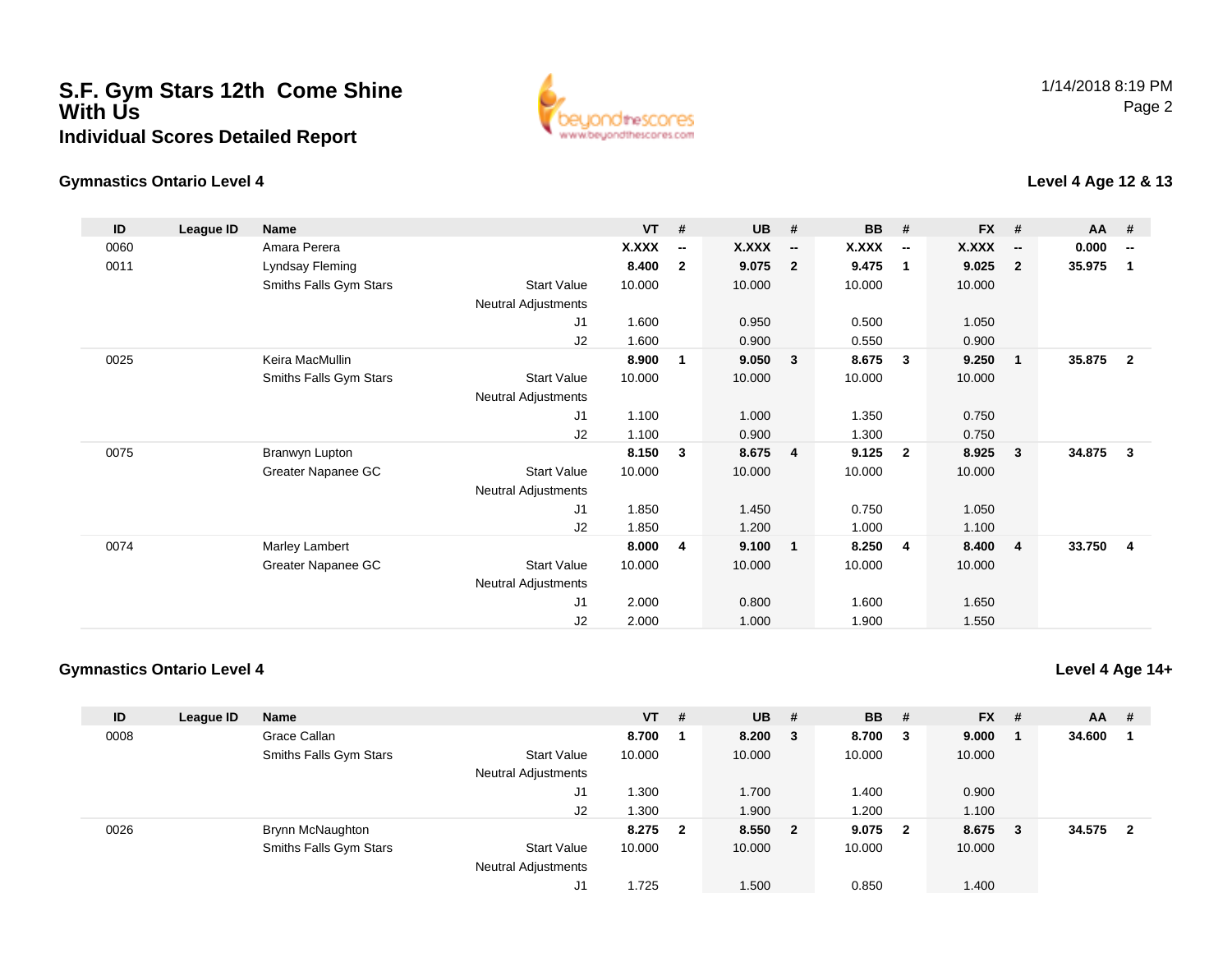### **S.F. Gym Stars 12th Come Shine With UsIndividual Scores Detailed Report**



### **Gymnastics Ontario Level 4**

**Level 4 Age 12 & 13**

| ID   | League ID | <b>Name</b>            |                            | <b>VT</b> | #                        | <b>UB</b> | #                        | <b>BB</b> | #                        | <b>FX</b> | #                        | <b>AA</b> | #                        |
|------|-----------|------------------------|----------------------------|-----------|--------------------------|-----------|--------------------------|-----------|--------------------------|-----------|--------------------------|-----------|--------------------------|
| 0060 |           | Amara Perera           |                            | X.XXX     | $\overline{\phantom{a}}$ | X.XXX     | $\overline{\phantom{a}}$ | X.XXX     | $\overline{\phantom{a}}$ | X.XXX     | $\overline{\phantom{a}}$ | 0.000     | $\overline{\phantom{a}}$ |
| 0011 |           | Lyndsay Fleming        |                            | 8.400     | $\mathbf{2}$             | 9.075     | $\overline{2}$           | 9.475     | $\overline{1}$           | 9.025     | $\overline{2}$           | 35.975    | 1                        |
|      |           | Smiths Falls Gym Stars | <b>Start Value</b>         | 10.000    |                          | 10.000    |                          | 10.000    |                          | 10.000    |                          |           |                          |
|      |           |                        | Neutral Adjustments        |           |                          |           |                          |           |                          |           |                          |           |                          |
|      |           |                        | J1                         | 1.600     |                          | 0.950     |                          | 0.500     |                          | 1.050     |                          |           |                          |
|      |           |                        | J2                         | 1.600     |                          | 0.900     |                          | 0.550     |                          | 0.900     |                          |           |                          |
| 0025 |           | Keira MacMullin        |                            | 8.900     | 1                        | 9.050     | $\mathbf{3}$             | 8.675     | $\overline{\mathbf{3}}$  | 9.250     | $\overline{\mathbf{1}}$  | 35.875    | $\mathbf{2}$             |
|      |           | Smiths Falls Gym Stars | Start Value                | 10.000    |                          | 10.000    |                          | 10.000    |                          | 10.000    |                          |           |                          |
|      |           |                        | Neutral Adjustments        |           |                          |           |                          |           |                          |           |                          |           |                          |
|      |           |                        | J1                         | 1.100     |                          | 1.000     |                          | 1.350     |                          | 0.750     |                          |           |                          |
|      |           |                        | J2                         | 1.100     |                          | 0.900     |                          | 1.300     |                          | 0.750     |                          |           |                          |
| 0075 |           | Branwyn Lupton         |                            | 8.150     | 3                        | 8.675     | $\overline{4}$           | 9.125     | $\overline{\mathbf{2}}$  | 8.925     | 3                        | 34.875    | 3                        |
|      |           | Greater Napanee GC     | <b>Start Value</b>         | 10.000    |                          | 10.000    |                          | 10.000    |                          | 10.000    |                          |           |                          |
|      |           |                        | Neutral Adjustments        |           |                          |           |                          |           |                          |           |                          |           |                          |
|      |           |                        | J <sub>1</sub>             | 1.850     |                          | 1.450     |                          | 0.750     |                          | 1.050     |                          |           |                          |
|      |           |                        | J2                         | 1.850     |                          | 1.200     |                          | 1.000     |                          | 1.100     |                          |           |                          |
| 0074 |           | Marley Lambert         |                            | 8.000     | 4                        | 9.100     | $\mathbf 1$              | 8.250     | -4                       | 8.400     | -4                       | 33.750    | 4                        |
|      |           | Greater Napanee GC     | <b>Start Value</b>         | 10.000    |                          | 10.000    |                          | 10.000    |                          | 10.000    |                          |           |                          |
|      |           |                        | <b>Neutral Adjustments</b> |           |                          |           |                          |           |                          |           |                          |           |                          |
|      |           |                        | J <sub>1</sub>             | 2.000     |                          | 0.800     |                          | 1.600     |                          | 1.650     |                          |           |                          |
|      |           |                        | J <sub>2</sub>             | 2.000     |                          | 1.000     |                          | 1.900     |                          | 1.550     |                          |           |                          |

#### **Gymnastics Ontario Level 4**

**Level 4 Age 14+**

| ID   | League ID | <b>Name</b>            |                            | $VT$ #  | $UB$ #  | <b>BB</b> | - #                     | <b>FX</b> | #   | $AA$ # |                |
|------|-----------|------------------------|----------------------------|---------|---------|-----------|-------------------------|-----------|-----|--------|----------------|
| 0008 |           | Grace Callan           |                            | 8.700   | 8.200 3 | 8.700     | - 3                     | 9.000     |     | 34.600 |                |
|      |           | Smiths Falls Gym Stars | <b>Start Value</b>         | 10.000  | 10.000  | 10.000    |                         | 10.000    |     |        |                |
|      |           |                        | <b>Neutral Adjustments</b> |         |         |           |                         |           |     |        |                |
|      |           |                        | J1                         | .300    | 1.700   | 1.400     |                         | 0.900     |     |        |                |
|      |           |                        | J2                         | .300    | 1.900   | 1.200     |                         | 1.100     |     |        |                |
| 0026 |           | Brynn McNaughton       |                            | 8.275 2 | 8.550 2 | 9.075     | $\overline{\mathbf{2}}$ | 8.675     | - 3 | 34.575 | $\overline{2}$ |
|      |           | Smiths Falls Gym Stars | <b>Start Value</b>         | 10.000  | 10.000  | 10.000    |                         | 10.000    |     |        |                |
|      |           |                        | <b>Neutral Adjustments</b> |         |         |           |                         |           |     |        |                |
|      |           |                        | J1                         | .725    | 1.500   | 0.850     |                         | 1.400     |     |        |                |